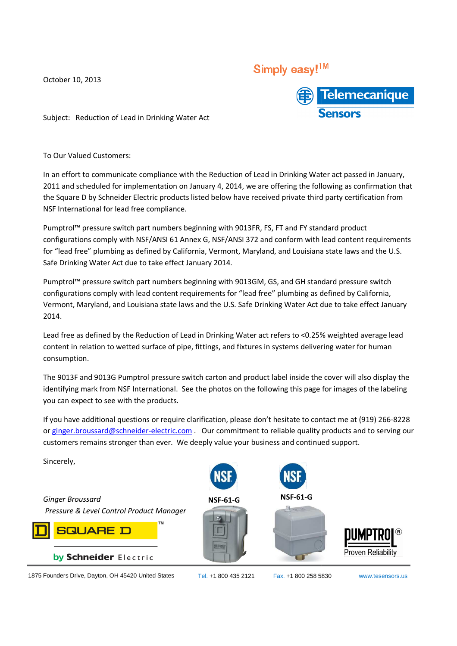October 10, 2013

## Simply easy!<sup>1M</sup>



Subject: Reduction of Lead in Drinking Water Act

To Our Valued Customers:

In an effort to communicate compliance with the Reduction of Lead in Drinking Water act passed in January, 2011 and scheduled for implementation on January 4, 2014, we are offering the following as confirmation that 2011 and scheduled for implementation on January 4, 2014, we are offering the following as confirmation th<br>the Square D by Schneider Electric products listed below have received private third party certification from NSF International for lead free compliance.

Pumptrol™ pressure switch part numbers beginning with 9013FR, FS, FT and FY standard product Pumptrol™ pressure switch part numbers beginning with 9013FR, FS, FT and FY standard product<br>configurations comply with NSF/ANSI 61 Annex G, NSF/ANSI 372 and conform with lead content requirements for "lead free" plumbing as defined by California, Vermont, Maryland, and Louisiana state laws and the U.S. Safe Drinking Water Act due to take effect January 2014.

Pumptrol™ pressure switch part numbers beginning with 9013GM, GS, and GH standard pressure switch configurations comply with lead content requirements for "lead free" plumbing as defined by California, Vermont, Maryland, and Louisiana state laws and the U.S. Safe Drinking Water Act due to take effect January 2014. ng as defined by California, Vermont, Maryland, and Louisiana state laws<br>ct due to take effect January 2014.<br>witch part numbers beginning with 9013GM, GS, and GH standard pressu<br>with lead content requirements for "lead fre

Lead free as defined by the Reduction of Lead in Drinking Water act refers to <0.25% weighted average lead content in relation to wetted surface of pipe, fittings, and fixtures in systems delivering water for human consumption. U.S. Safe Drinking Water Act due to take effect January<br>ing Water act refers to <0.25% weighted average lead<br>and fixtures in systems delivering water for human<br>n and product label inside the cover will also display the

The 9013F and 9013G Pumptrol pressure switch carton and product label inside the cover will also display the identifying mark from NSF International. See the photos on the following this page for images of the labeling you can expect to see with the products products.

If you have additional questions or require clarification, please don't hesitate to contact me at (919) 266-8228 or ginger.broussard@schneider-electric.com . Our commitment to reliable quality products and to serving our customers remains stronger than ever. We deeply value your business and continued support.

*Ginger Broussard* 

Sincerely,

*Pressure & Level Control Product Manager*



by Schneider Electric

1875 Founders Drive, Dayton, OH 45420 United States



Proven Reliability

Tel. +1 800 435 2121 Fax. +1 800 258 5830

www.tesensors.us